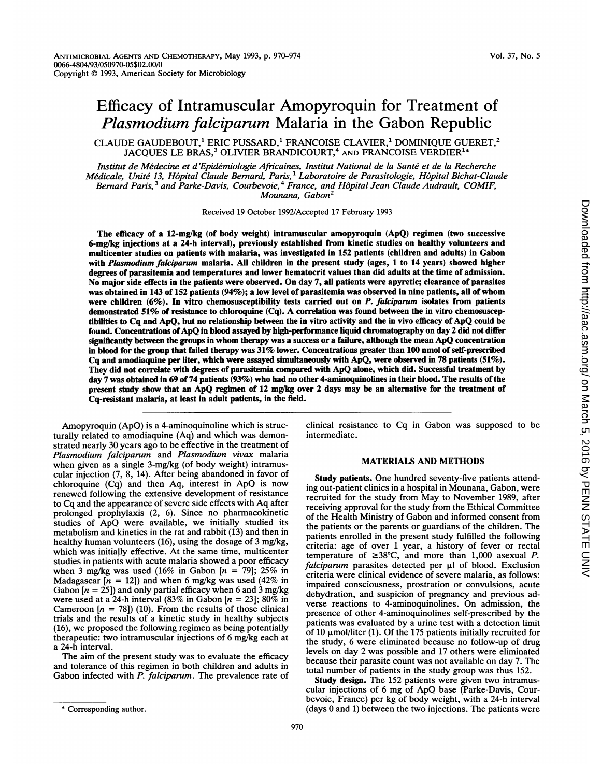# Efficacy of Intramuscular Amopyroquin for Treatment of Plasmodium falciparum Malaria in the Gabon Republic

CLAUDE GAUDEBOUT,<sup>1</sup> ERIC PUSSARD,<sup>1</sup> FRANCOISE CLAVIER,<sup>1</sup> DOMINIQUE GUERET,<sup>2</sup> JACQUES LE BRAS,<sup>3</sup> OLIVIER BRANDICOURT,<sup>4</sup> AND FRANCOISE VERDIER<sup>14</sup>

Institut de Medecine et d'Epidemiologie Africaines, Institut National de la Sante et de la Recherche Médicale, Unité 13, Hôpital Claude Bernard, Paris, <sup>i</sup> Laboratoire de Parasitologie, Hôpital Bichat-Claude Bernard Paris,<sup>3</sup> and Parke-Davis, Courbevoie,<sup>4</sup> France, and Hôpital Jean Claude Audrault, COMIF, Mounana, Gabon<sup>2</sup>

Received 19 October 1992/Accepted 17 February 1993

The efficacy of a 12-mg/kg (of body weight) intramuscular amopyroquin (ApQ) regimen (two successive 6-mg/kg injections at a 24-h interval), previously established from kinetic studies on healthy volunteers and multicenter studies on patients with malaria, was investigated in 152 patients (children and adults) in Gabon with Plasmodium falciparum malaria. All children in the present study (ages, 1 to 14 years) showed higher degrees of parasitemia and temperatures and lower hematocrit values than did adults at the time of admission. No major side effects in the patients were observed. On day 7, all patients were apyretic; clearance of parasites was obtained in 143 of 152 patients (94%); <sup>a</sup> low level of parasitemia was observed in nine patients, all of whom were children  $(6\%)$ . In vitro chemosusceptibility tests carried out on P. falciparum isolates from patients demonstrated 51% of resistance to chloroquine (Cq). A correlation was found between the in vitro chemosusceptibilities to Cq and ApQ, but no relationship between the in vitro activity and the in vivo efficacy of ApQ could be found. Concentrations of ApQ in blood assayed by high-performance liquid chromatography on day 2 did not differ significantly between the groups in whom therapy was a success or <sup>a</sup> failure, although the mean ApQ concentration in blood for the group that failed therapy was 31% lower. Concentrations greater than 100 nmol of self-prescribed Cq and amodiaquine per liter, which were assayed simultaneously with ApQ, were observed in 78 patients (51%). They did not correlate with degrees of parasitemia compared with ApQ alone, which did. Successful treatment by day 7 was obtained in 69 of 74 patients (93%) who had no other 4-aminoquinolines in their blood. The results of the present study show that an ApQ regimen of <sup>12</sup> mg/kg over <sup>2</sup> days may be an alternative for the treatment of Cq-resistant malaria, at least in adult patients, in the field.

Amopyroquin (ApQ) is a 4-aminoquinoline which is structurally related to amodiaquine (Aq) and which was demonstrated nearly 30 years ago to be effective in the treatment of Plasmodium falciparum and Plasmodium vivax malaria when given as a single 3-mg/kg (of body weight) intramuscular injection (7, 8, 14). After being abandoned in favor of chloroquine (Cq) and then Aq, interest in ApQ is now renewed following the extensive development of resistance to Cq and the appearance of severe side effects with Aq after prolonged prophylaxis (2, 6). Since no pharmacokinetic studies of ApQ were available, we initially studied its metabolism and kinetics in the rat and rabbit (13) and then in healthy human volunteers (16), using the dosage of 3 mg/kg, which was initially effective. At the same time, multicenter studies in patients with acute malaria showed a poor efficacy when 3 mg/kg was used (16% in Gabon  $[n = 79]$ ; 25% in Madagascar  $[n = 12]$ ) and when 6 mg/kg was used (42% in Gabon  $[n = 25]$ ) and only partial efficacy when 6 and 3 mg/kg were used at a 24-h interval (83% in Gabon [ $n = 23$ ]; 80% in Cameroon  $[n = 78]$  (10). From the results of those clinical trials and the results of a kinetic study in healthy subjects (16), we proposed the following regimen as being potentially therapeutic: two intramuscular injections of 6 mg/kg each at a 24-h interval.

The aim of the present study was to evaluate the efficacy and tolerance of this regimen in both children and adults in Gabon infected with P. falciparum. The prevalence rate of

clinical resistance to Cq in Gabon was supposed to be intermediate.

### MATERIALS AND METHODS

Study patients. One hundred seventy-five patients attending out-patient clinics in a hospital in Mounana, Gabon, were recruited for the study from May to November 1989, after receiving approval for the study from the Ethical Committee of the Health Ministry of Gabon and informed consent from the patients or the parents or guardians of the children. The patients enrolled in the present study fulfilled the following criteria: age of over 1 year, a history of fever or rectal temperature of  $\geq 38^{\circ}$ C, and more than 1,000 asexual P.  $falciparum$  parasites detected per  $\mu$ l of blood. Exclusion criteria were clinical evidence of severe malaria, as follows: impaired consciousness, prostration or convulsions, acute dehydration, and suspicion of pregnancy and previous adverse reactions to 4-aminoquinolines. On admission, the presence of other 4-aminoquinolines self-prescribed by the patients was evaluated by a urine test with a detection limit of 10  $\mu$ mol/liter (1). Of the 175 patients initially recruited for the study, 6 were eliminated because no follow-up of drug levels on day 2 was possible and 17 others were eliminated because their parasite count was not available on day 7. The total number of patients in the study group was thus 152.

Study design. The 152 patients were given two intramuscular injections of <sup>6</sup> mg of ApQ base (Parke-Davis, Courbevoie, France) per kg of body weight, with a 24-h interval (days 0 and 1) between the two injections. The patients were

<sup>\*</sup> Corresponding author.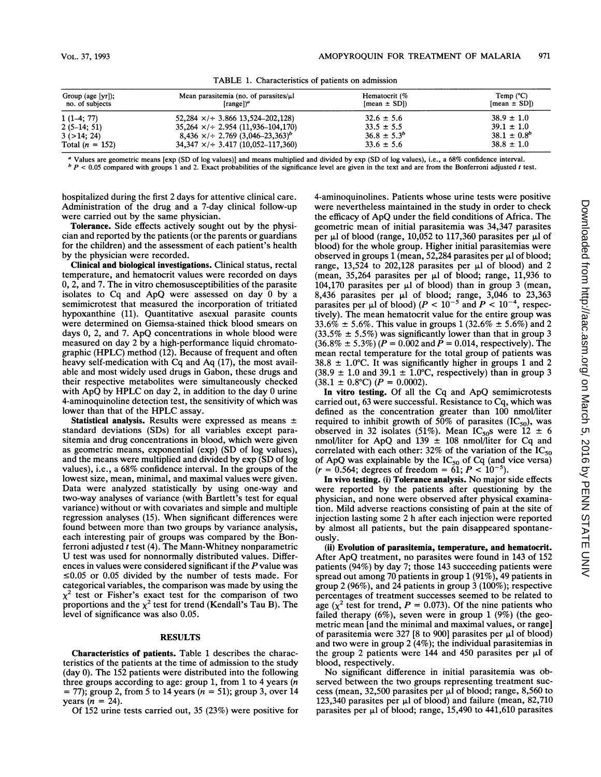| Group (age $[\text{yr}]$ );<br>no. of subjects | Mean parasitemia (no. of parasites/ $\mu$ l<br>[range] | Hematocrit (%<br>$[mean \pm SD]$ | Temp $(^{\circ}C)$<br>$[mean \pm SD]$ |
|------------------------------------------------|--------------------------------------------------------|----------------------------------|---------------------------------------|
| $1(1-4; 77)$                                   | $52,284 \times 7 + 3,866$ 13,524-202,128)              | $32.6 \pm 5.6$                   | $38.9 \pm 1.0$                        |
| $2(5-14; 51)$                                  | $35,264 \times 7 + 2.954 (11,936 - 104,170)$           | $33.5 \pm 5.5$                   | $39.1 \pm 1.0$                        |
| 3(>14; 24)                                     | $8,436 \times 1 + 2.769 (3,046-23,363)^{6}$            | $36.8 \pm 5.3^b$                 | $38.1 \pm 0.8^{b}$                    |
| Total $(n = 152)$                              | $34,347 \times 3.417 (10,052-117,360)$                 | $33.6 \pm 5.6$                   | $38.8 \pm 1.0$                        |

TABLE 1. Characteristics of patients on admission

<sup>a</sup> Values are geometric means [exp (SD of log values)] and means multiplied and divided by exp (SD of log values), i.e., a 68% confidence interval.

 $b$  P < 0.05 compared with groups 1 and 2. Exact probabilities of the significance level are given in the text and are from the Bonferroni adjusted t test.

hospitalized during the first 2 days for attentive clinical care. Administration of the drug and a 7-day clinical follow-up were carried out by the same physician.

Tolerance. Side effects actively sought out by the physician and reported by the patients (or the parents or guardians for the children) and the assessment of each patient's health by the physician were recorded.

Clinical and biological investigations. Clinical status, rectal temperature, and hematocrit values were recorded on days 0, 2, and 7. The in vitro chemosusceptibilities of the parasite isolates to Cq and ApQ were assessed on day <sup>0</sup> by <sup>a</sup> semimicrotest that measured the incorporation of tritiated hypoxanthine (11). Quantitative asexual parasite counts were determined on Giemsa-stained thick blood smears on days 0, 2, and 7. ApQ concentrations in whole blood were measured on day 2 by a high-performance liquid chromatographic (HPLC) method (12). Because of frequent and often heavy self-medication with Cq and Aq (17), the most available and most widely used drugs in Gabon, these drugs and their respective metabolites were simultaneously checked with ApQ by HPLC on day 2, in addition to the day 0 urine 4-aminoquinoline detection test, the sensitivity of which was lower than that of the HPLC assay.

Statistical analysis. Results were expressed as means ± standard deviations (SDs) for all variables except parasitemia and drug concentrations in blood, which were given as geometric means, exponential (exp) (SD of log values), and the means were multiplied and divided by exp (SD of log values), i.e., a 68% confidence interval. In the groups of the lowest size, mean, minimal, and maximal values were given. Data were analyzed statistically by using one-way and two-way analyses of variance (with Bartlett's test for equal variance) without or with covariates and simple and multiple regression analyses (15). When significant differences were found between more than two groups by variance analysis, each interesting pair of groups was compared by the Bonferroni adjusted  $t$  test (4). The Mann-Whitney nonparametric U test was used for nonnormally distributed values. Differences in values were considered significant if the  $P$  value was  $\leq 0.05$  or 0.05 divided by the number of tests made. For categorical variables, the comparison was made by using the  $x<sup>2</sup>$  test or Fisher's exact test for the comparison of two proportions and the  $\chi^2$  test for trend (Kendall's Tau B). The level of significance was also 0.05.

# **RESULTS**

Characteristics of patients. Table 1 describes the characteristics of the patients at the time of admission to the study (day 0). The 152 patients were distributed into the following three groups according to age: group 1, from 1 to 4 years  $(n)$  $=$  77); group 2, from 5 to 14 years ( $n = 51$ ); group 3, over 14 years  $(n = 24)$ .

Of 152 urine tests carried out, 35 (23%) were positive for

4-aminoquinolines. Patients whose urine tests were positive were nevertheless maintained in the study in order to check the efficacy of ApQ under the field conditions of Africa. The geometric mean of initial parasitemia was 34,347 parasites per  $\mu$ l of blood (range, 10,052 to 117,360 parasites per  $\mu$ l of blood) for the whole group. Higher initial parasitemias were observed in groups 1 (mean, 52,284 parasites per  $\mu$ l of blood; range, 13,524 to 202,128 parasites per  $\mu$ l of blood) and 2 (mean,  $35,264$  parasites per  $\mu$ l of blood; range, 11,936 to 104,170 parasites per  $\mu$ l of blood) than in group 3 (mean, 8,436 parasites per  $\mu$ I of blood; range, 3,046 to 23,363 parasites per  $\mu$ I of blood) ( $P < 10^{-5}$  and  $P < 10^{-4}$ , respectively). The mean hematocrit value for the entire group was  $33.6\% \pm 5.6\%$ . This value in groups 1 (32.6\%  $\pm$  5.6\%) and 2  $(33.5\% \pm 5.5\%)$  was significantly lower than that in group 3  $(36.8\% \pm 5.3\%) (P = 0.002$  and  $P = 0.014$ , respectively). The mean rectal temperature for the total group of patients was  $38.8 \pm 1.0^{\circ}$ C. It was significantly higher in groups 1 and 2  $(38.9 \pm 1.0 \text{ and } 39.1 \pm 1.0^{\circ}\text{C}$ , respectively) than in group 3  $(38.1 \pm 0.8^{\circ}\text{C})$   $(P = 0.0002)$ .

In vitro testing. Of all the Cq and ApQ semimicrotests carried out, 63 were successful. Resistance to Cq, which was defined as the concentration greater than 100 nmol/liter required to inhibit growth of 50% of parasites  $(IC_{50})$ , was observed in 32 isolates (51%). Mean IC<sub>50</sub>s were  $12 \pm 6$ nmol/liter for ApQ and  $139 \pm 108$  nmol/liter for Cq and correlated with each other: 32% of the variation of the  $IC_{50}$ of ApQ was explainable by the  $IC_{50}$  of Cq (and vice versa)  $(r = 0.564;$  degrees of freedom = 61;  $P < 10^{-5}$ ).

In vivo testing. (i) Tolerance analysis. No major side effects were reported by the patients after questioning by the physician, and none were observed after physical examination. Mild adverse reactions consisting of pain at the site of injection lasting some 2 h after each injection were reported by almost all patients, but the pain disappeared spontaneously.

(ii) Evolution of parasitemia, temperature, and hematocrit. After ApQ treatment, no parasites were found in <sup>143</sup> of <sup>152</sup> patients (94%) by day 7; those 143 succeeding patients were spread out among 70 patients in group <sup>1</sup> (91%), 49 patients in group 2 (96%), and 24 patients in group 3 (100%); respective percentages of treatment successes seemed to be related to age ( $\chi^2$  test for trend,  $P = 0.073$ ). Of the nine patients who failed therapy (6%), seven were in group <sup>1</sup> (9%) (the geometric mean [and the minimal and maximal values, or range] of parasitemia were 327 [8 to 900] parasites per  $\mu$ l of blood) and two were in group 2 (4%); the individual parasitemias in the group 2 patients were 144 and 450 parasites per  $\mu$ l of blood, respectively.

No significant difference in initial parasitemia was observed between the two groups representing treatment success (mean, 32,500 parasites per  $\mu$ I of blood; range, 8,560 to 123,340 parasites per  $\mu$ l of blood) and failure (mean, 82,710 parasites per  $\mu$ l of blood; range, 15,490 to 441,610 parasites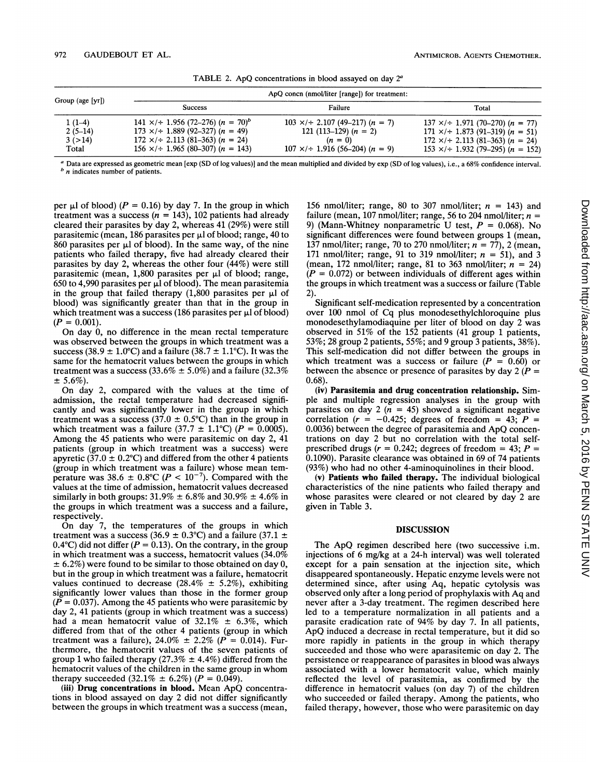| Group (age [yr]) |                                                                     | ApQ concn (nmol/liter [range]) for treatment:       |                                                       |
|------------------|---------------------------------------------------------------------|-----------------------------------------------------|-------------------------------------------------------|
|                  | <b>Success</b>                                                      | Failure                                             | Total                                                 |
| $1(1-4)$         | 141 $\times$ /÷ 1.956 (72–276) ( <i>n</i> = 70) <sup><i>b</i></sup> | $103 \times 1 + 2.107 (49 - 217) (n = 7)$           | $137 \times \div 1.971 (70-270) (n = 77)$             |
| $2(5-14)$        | $173 \times 1 + 1.889 (92 - 327) (n = 49)$                          | 121 (113–129) $(n = 2)$                             | $171 \times 1 + 1.873 (91 - 319) (n = 51)$            |
| 3(>14)           | $172 \times 7$ + 2.113 (81-363) (n = 24)                            | $(n = 0)$                                           | $172 \times 7 \div 2.113 (81 - 363)$ ( <i>n</i> = 24) |
| Total            | $156 \times 1$ : 1.965 (80-307) (n = 143)                           | $107 \times 10^{-1}$ 1.916 (56-204) ( <i>n</i> = 9) | $153 \times 1 + 1.932$ (79–295) (n = 152)             |

TABLE 2. ApQ concentrations in blood assayed on day  $2<sup>a</sup>$ 

<sup>a</sup> Data are expressed as geometric mean [exp (SD of log values)] and the mean multiplied and divided by exp (SD of log values), i.e., <sup>a</sup> 68% confidence interval.  $<sup>b</sup>$  n indicates number of patients.</sup>

per  $\mu$ l of blood) ( $P = 0.16$ ) by day 7. In the group in which treatment was a success  $(n = 143)$ , 102 patients had already cleared their parasites by day 2, whereas 41 (29%) were still parasitemic (mean, 186 parasites per  $\mu$ l of blood; range, 40 to  $860$  parasites per  $\mu$ l of blood). In the same way, of the nine patients who failed therapy, five had already cleared their parasites by day 2, whereas the other four (44%) were still parasitemic (mean,  $1,800$  parasites per  $\mu$ l of blood; range, 650 to 4,990 parasites per pI of blood). The mean parasitemia in the group that failed therapy  $(1,800)$  parasites per  $\mu$ l of blood) was significantly greater than that in the group in which treatment was a success  $(186 \text{ parasites per } \mu)$  of blood)  $(P = 0.001)$ .

On day 0, no difference in the mean rectal temperature was observed between the groups in which treatment was a success (38.9  $\pm$  1.0°C) and a failure (38.7  $\pm$  1.1°C). It was the same for the hematocrit values between the groups in which treatment was a success (33.6%  $\pm$  5.0%) and a failure (32.3%)  $\pm$  5.6%).

On day 2, compared with the values at the time of admission, the rectal temperature had decreased significantly and was significantly lower in the group in which treatment was a success (37.0  $\pm$  0.5°C) than in the group in which treatment was a failure (37.7  $\pm$  1.1°C) ( $P = 0.0005$ ). Among the 45 patients who were parasitemic on day 2, 41 patients (group in which treatment was a success) were apyretic (37.0  $\pm$  0.2°C) and differed from the other 4 patients (group in which treatment was a failure) whose mean temperature was 38.6  $\pm$  0.8°C ( $P < 10^{-7}$ ). Compared with the values at the time of admission, hematocrit values decreased similarly in both groups:  $31.9\% \pm 6.8\%$  and  $30.9\% \pm 4.6\%$  in the groups in which treatment was a success and a failure, respectively.

On day 7, the temperatures of the groups in which treatment was a success (36.9  $\pm$  0.3°C) and a failure (37.1  $\pm$ 0.4°C) did not differ ( $P = 0.13$ ). On the contrary, in the group in which treatment was a success, hematocrit values  $(34.0\%$  $\pm$  6.2%) were found to be similar to those obtained on day 0, but in the group in which treatment was a failure, hematocrit values continued to decrease (28.4%  $\pm$  5.2%), exhibiting significantly lower values than those in the former group  $(P = 0.037)$ . Among the 45 patients who were parasitemic by day 2, 41 patients (group in which treatment was a success) had a mean hematocrit value of  $32.1\% \pm 6.3\%$ , which differed from that of the other 4 patients (group in which treatment was a failure), 24.0%  $\pm$  2.2% ( $P = 0.014$ ). Furthermore, the hematocrit values of the seven patients of group 1 who failed therapy (27.3%  $\pm$  4.4%) differed from the hematocrit values of the children in the same group in whom therapy succeeded (32.1%  $\pm$  6.2%) (P = 0.049).

(iii) Drug concentrations in blood. Mean ApQ concentrations in blood assayed on day 2 did not differ significantly between the groups in which treatment was a success (mean,

156 nmol/liter; range, 80 to 307 nmol/liter;  $n = 143$ ) and failure (mean, 107 nmol/liter; range, 56 to 204 nmol/liter;  $n =$ 9) (Mann-Whitney nonparametric U test,  $P = 0.068$ ). No significant differences were found between groups <sup>1</sup> (mean, 137 nmol/liter; range, 70 to 270 nmol/liter;  $n = 77$ , 2 (mean, 171 nmol/liter; range, 91 to 319 nmol/liter;  $n = 51$ ), and 3 (mean, 172 nmol/liter; range, 81 to 363 nmol/liter;  $n = 24$ )  $(P = 0.072)$  or between individuals of different ages within the groups in which treatment was a success or failure (Table 2).

Significant self-medication represented by a concentration over 100 nmol of Cq plus monodesethylchloroquine plus monodesethylamodiaquine per liter of blood on day 2 was observed in 51% of the 152 patients (41 group <sup>1</sup> patients, 53%; 28 group 2 patients, 55%; and 9 group 3 patients, 38%). This self-medication did not differ between the groups in which treatment was a success or failure  $(P = 0.60)$  or between the absence or presence of parasites by day  $2 (P =$ 0.68).

(iv) Parasitemia and drug concentration relationship. Simple and multiple regression analyses in the group with parasites on day 2 ( $\bar{n}$  = 45) showed a significant negative correlation ( $r = -0.425$ ; degrees of freedom = 43;  $P =$ 0.0036) between the degree of parasitemia and ApQ concentrations on day 2 but no correlation with the total selfprescribed drugs ( $r = 0.242$ ; degrees of freedom = 43;  $P =$ 0.1090). Parasite clearance was obtained in 69 of 74 patients (93%) who had no other 4-aminoquinolines in their blood.

(v) Patients who failed therapy. The individual biological characteristics of the nine patients who failed therapy and whose parasites were cleared or not cleared by day 2 are given in Table 3.

## DISCUSSION

The ApQ regimen described here (two successive i.m. injections of 6 mg/kg at a 24-h interval) was well tolerated except for a pain sensation at the injection site, which disappeared spontaneously. Hepatic enzyme levels were not determined since, after using Aq, hepatic cytolysis was observed only after <sup>a</sup> long period of prophylaxis with Aq and never after a 3-day treatment. The regimen described here led to a temperature normalization in all patients and a parasite eradication rate of 94% by day 7. In all patients, ApQ induced <sup>a</sup> decrease in rectal temperature, but it did so more rapidly in patients in the group in which therapy succeeded and those who were aparasitemic on day 2. The persistence or reappearance of parasites in blood was always associated with a lower hematocrit value, which mainly reflected the level of parasitemia, as confirmed by the difference in hematocrit values (on day 7) of the children who succeeded or failed therapy. Among the patients, who failed therapy, however, those who were parasitemic on day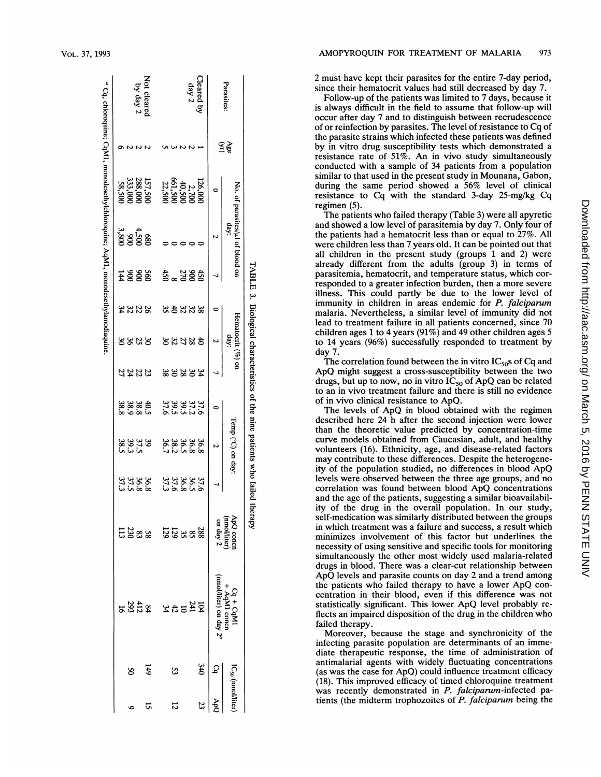| Parasites:              | ર્ક્રફ<br>ઉ |                                                 | No. of parasites/µl of blood on<br>day: |        |               | Hematocrit (%) on<br>day: |             |                      | Temp (°C) on day: |                       | ApQ conci                |                                 |                            |    |
|-------------------------|-------------|-------------------------------------------------|-----------------------------------------|--------|---------------|---------------------------|-------------|----------------------|-------------------|-----------------------|--------------------------|---------------------------------|----------------------------|----|
|                         |             |                                                 | r                                       |        |               | N                         |             | $\circ$              | N                 |                       | (mmol/liter)<br>on day 2 | nmol/liter) on day 2"           | $\mathcal{S}_{\mathbf{q}}$ |    |
|                         |             |                                                 |                                         |        |               |                           |             |                      |                   |                       |                          |                                 | 340                        |    |
| Cleared by<br>day 2     |             |                                                 |                                         |        |               |                           |             |                      |                   |                       |                          |                                 |                            |    |
|                         |             |                                                 |                                         |        |               |                           |             |                      |                   |                       |                          |                                 |                            |    |
|                         |             |                                                 |                                         |        |               | 38233                     | 22888       |                      |                   | 37.88.93.<br>28.99.93 |                          |                                 | 53                         | 12 |
|                         |             | 126,000<br>2,700<br>061,500<br>22,500<br>22,500 |                                         | 282.50 | <b>333343</b> |                           |             | អូអូននង<br>ស្តុកមិន  | 3888888           |                       | <b>S</b> & & & 2         | $\frac{32}{25}$ $\frac{25}{25}$ |                            |    |
|                         |             | 157,500<br>288,000<br>333,000<br>58,500         |                                         |        |               |                           |             |                      |                   | 36<br>28<br>27<br>37  |                          |                                 | 149                        |    |
| Not cleared<br>by day 2 |             |                                                 | $4,500$<br>$3,800$<br>$3,800$           | 2888   | <b>2223</b>   | 8888                      | <b>2222</b> | 43 38 38<br>28 39 38 |                   |                       | ដូនឌ                     | $2\frac{25}{22}$                |                            |    |
|                         |             |                                                 |                                         |        |               |                           |             |                      |                   |                       |                          |                                 | క                          |    |
|                         |             |                                                 |                                         |        |               |                           |             |                      |                   |                       |                          |                                 |                            |    |

2 must have kept their parasites for the entire 7-day period, since their hematocrit values had still decreased by day 7.

Follow-up of the patients was limited to 7 days, because it is always difficult in the field to assume that follow-up will occur after day 7 and to distinguish between recrudescence of or reinfection by parasites. The level of resistance to Cq of the parasite strains which infected these patients was defined by in vitro drug susceptibility tests which demonstrated a resistance rate of 51%. An in vivo study simultaneously conducted with a sample of 34 patients from a population similar to that used in the present study in Mounana, Gabon, during the same period showed a 56% level of clinical resistance to Cq with the standard 3-day 25-mg/kg Cq regimen $(5)$ .

The patients who failed therapy (Table 3) were all apyretic and showed a low level of parasitemia by day 7. Only four of the patients had a hematocrit less than or equal to 27%. All were children less than 7 years old. It can be pointed out that all children in the present study (groups 1 and 2) were already different from the adults (group 3) in terms of parasitemia, hematocrit, and temperature status, which corresponded to a greater infection burden, then a more severe illness. This could partly be due to the lower level of immunity in children in areas endemic for P. falciparum malaria. Nevertheless, a similar level of immunity did not lead to treatment failure in all patients concerned, since 70 children ages 1 to 4 years (91%) and 49 other children ages 5 to 14 years (96%) successfully responded to treatment by day 7.

The correlation found between the in vitro  $IC_{50}$ s of Cq and ApQ might suggest a cross-susceptibility between the two drugs, but up to now, no in vitro  $IC_{50}$  of ApQ can be related to an in vivo treatment failure and there is still no evidence of in vivo clinical resistance to ApQ.

The levels of ApQ in blood obtained with the regimen described here 24 h after the second injection were lower than the theoretic value predicted by concentration-time curve models obtained from Caucasian, adult, and healthy volunteers (16). Ethnicity, age, and disease-related factors may contribute to these differences. Despite the heterogeneity of the population studied, no differences in blood ApQ levels were observed between the three age groups, and no correlation was found between blood ApQ concentrations and the age of the patients, suggesting a similar bioavailability of the drug in the overall population. In our study, self-medication was similarly distributed between the groups in which treatment was a failure and success, a result which minimizes involvement of this factor but underlines the necessity of using sensitive and specific tools for monitoring simultaneously the other most widely used malaria-related drugs in blood. There was a clear-cut relationship between ApQ levels and parasite counts on day 2 and a trend among the patients who failed therapy to have a lower ApQ concentration in their blood, even if this difference was not statistically significant. This lower ApQ level probably reflects an impaired disposition of the drug in the children who failed therapy.

Moreover, because the stage and synchronicity of the infecting parasite population are determinants of an immediate therapeutic response, the time of administration of antimalarial agents with widely fluctuating concentrations (as was the case for ApQ) could influence treatment efficacy (18). This improved efficacy of timed chloroquine treatment was recently demonstrated in P. falciparum-infected patients (the midterm trophozoites of P. falciparum being the